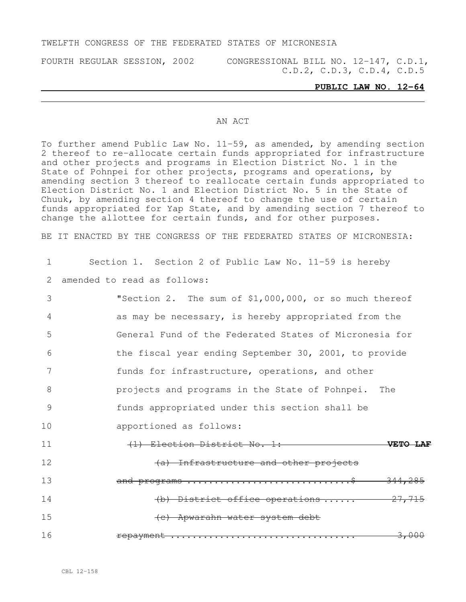### TWELFTH CONGRESS OF THE FEDERATED STATES OF MICRONESIA

FOURTH REGULAR SESSION, 2002 CONGRESSIONAL BILL NO. 12-147, C.D.1, C.D.2, C.D.3, C.D.4, C.D.5

#### **PUBLIC LAW NO. 12-64**

### AN ACT

To further amend Public Law No. 11-59, as amended, by amending section 2 thereof to re-allocate certain funds appropriated for infrastructure and other projects and programs in Election District No. 1 in the State of Pohnpei for other projects, programs and operations, by amending section 3 thereof to reallocate certain funds appropriated to Election District No. 1 and Election District No. 5 in the State of Chuuk, by amending section 4 thereof to change the use of certain funds appropriated for Yap State, and by amending section 7 thereof to change the allottee for certain funds, and for other purposes.

BE IT ENACTED BY THE CONGRESS OF THE FEDERATED STATES OF MICRONESIA:

1 Section 1. Section 2 of Public Law No. 11-59 is hereby 2 amended to read as follows:

| 3  | "Section 2. The sum of \$1,000,000, or so much thereof |
|----|--------------------------------------------------------|
| 4  | as may be necessary, is hereby appropriated from the   |
| 5  | General Fund of the Federated States of Micronesia for |
| 6  | the fiscal year ending September 30, 2001, to provide  |
| 7  | funds for infrastructure, operations, and other        |
| 8  | projects and programs in the State of Pohnpei. The     |
| 9  | funds appropriated under this section shall be         |
| 10 | apportioned as follows:                                |
| 11 | (1) Election District No. 1:<br><b>VETO</b>            |
| 12 | (a) Infrastructure and other projects                  |
| 13 | <del>344,285</del>                                     |
| 14 | (b) District office operations $27,715$                |
| 15 | (e) Apwarahn water system debt                         |
| 16 | <del>3,000</del><br><u>repayment </u>                  |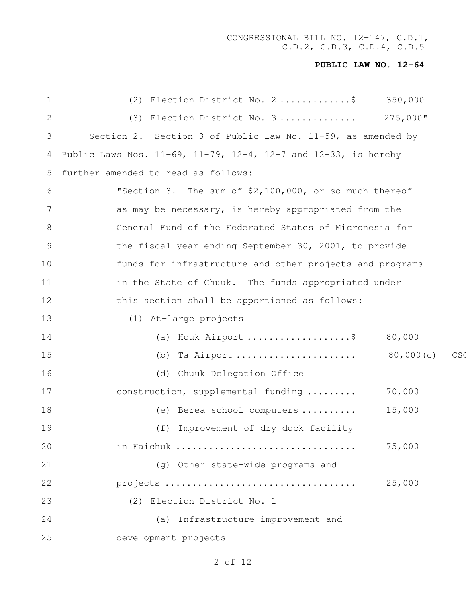| 1  | (2) Election District No. 2\$<br>350,000                       |
|----|----------------------------------------------------------------|
| 2  | 275,000"<br>Election District No. 3<br>(3)                     |
| 3  | Section 2. Section 3 of Public Law No. 11-59, as amended by    |
| 4  | Public Laws Nos. 11-69, 11-79, 12-4, 12-7 and 12-33, is hereby |
| 5  | further amended to read as follows:                            |
| 6  | "Section 3. The sum of \$2,100,000, or so much thereof         |
| 7  | as may be necessary, is hereby appropriated from the           |
| 8  | General Fund of the Federated States of Micronesia for         |
| 9  | the fiscal year ending September 30, 2001, to provide          |
| 10 | funds for infrastructure and other projects and programs       |
| 11 | in the State of Chuuk. The funds appropriated under            |
| 12 | this section shall be apportioned as follows:                  |
| 13 | (1) At-large projects                                          |
| 14 | 80,000                                                         |
| 15 | Ta Airport  80,000(c)<br>C <sub>S</sub><br>(b)                 |
| 16 | Chuuk Delegation Office<br>(d)                                 |
| 17 | construction, supplemental funding<br>70,000                   |
| 18 | 15,000<br>(e) Berea school computers                           |
| 19 | (f) Improvement of dry dock facility                           |
| 20 | 75,000<br>in Faichuk                                           |
| 21 | (g) Other state-wide programs and                              |
| 22 | 25,000                                                         |
| 23 | (2) Election District No. 1                                    |
| 24 | (a) Infrastructure improvement and                             |
| 25 | development projects                                           |
|    |                                                                |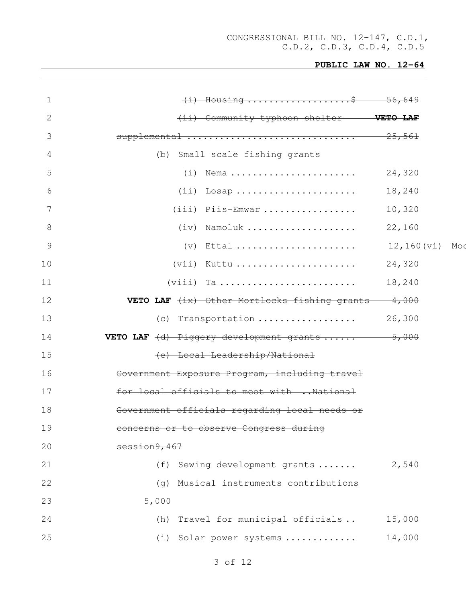| 1            | $(i)$ Housing \$ 56,649                                             |                |
|--------------|---------------------------------------------------------------------|----------------|
| $\mathbf{2}$ | (ii) Community typhoon shelter <b>VETO LAF</b>                      |                |
| 3            | supplemental  25,561                                                |                |
| 4            | (b) Small scale fishing grants                                      |                |
| 5            | $(i)$ Nema                                                          | 24,320         |
| 6            | $(i)$ Losap                                                         | 18,240         |
| 7            | (iii) Piis-Emwar                                                    | 10,320         |
| 8            | $(iv)$ Namoluk                                                      | 22,160         |
| 9            | $(v)$ Ettal                                                         | 12,160(vi) Mod |
| 10           | $(vii)$ Kuttu                                                       | 24,320         |
| 11           |                                                                     | 18,240         |
| 12           | <b>VETO LAF</b> $\frac{1}{1}x$ Other Mortlocks fishing grants 4,000 |                |
| 13           | (c) Transportation                                                  | 26,300         |
| 14           | <b>VETO LAF</b> $(d)$ Piggery development grants $5,000$            |                |
| 15           | (e) Local Leadership/National                                       |                |
| 16           | Government Exposure Program, including travel                       |                |
| 17           | for local officials to meet with  National                          |                |
| 18           | Government officials regarding local needs or                       |                |
| 19           | concerns or to observe Congress during                              |                |
| 20           | session9, 467                                                       |                |
| 21           | (f) Sewing development grants                                       | 2,540          |
| 22           | Musical instruments contributions<br>(q)                            |                |
| 23           | 5,000                                                               |                |
| 24           | Travel for municipal officials<br>(h)                               | 15,000         |
| 25           | (i) Solar power systems                                             | 14,000         |
|              |                                                                     |                |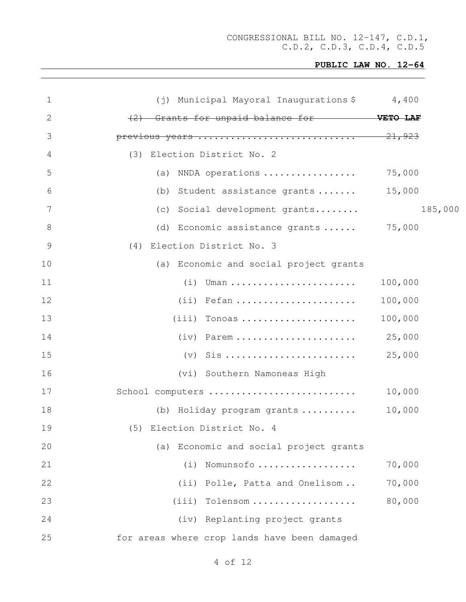## **PUBLIC LAW NO. 12-64**

| $\mathbf 1$    | (j) Municipal Mayoral Inaugurations \$4,400       |         |         |
|----------------|---------------------------------------------------|---------|---------|
| $\mathbf{2}$   | (2) Grants for unpaid balance for <b>WETO LAF</b> |         |         |
| 3              | previous years  21,923                            |         |         |
| 4              | (3) Election District No. 2                       |         |         |
| 5              | (a) NNDA operations                               | 75,000  |         |
| 6              | (b) Student assistance grants                     | 15,000  |         |
| $\overline{7}$ | (c) Social development grants                     |         | 185,000 |
| 8              | (d) Economic assistance grants  75,000            |         |         |
| $\mathcal{G}$  | (4) Election District No. 3                       |         |         |
| 10             | (a) Economic and social project grants            |         |         |
| 11             | $(i)$ Uman                                        | 100,000 |         |
| 12             | $(i)$ Fefan                                       | 100,000 |         |
| 13             | $(iii)$ Tonoas                                    | 100,000 |         |
| 14             | $(iv)$ Parem                                      | 25,000  |         |
| 15             |                                                   | 25,000  |         |
| 16             | (vi) Southern Namoneas High                       |         |         |
| 17             | School computers                                  | 10,000  |         |
| 18             | (b) Holiday program grants                        | 10,000  |         |
| 19             | (5) Election District No. 4                       |         |         |
| 20             | (a) Economic and social project grants            |         |         |
| 21             | Nomunsofo<br>(i)                                  | 70,000  |         |
| 22             | (iii)<br>Polle, Patta and Onelisom                | 70,000  |         |
| 23             | (iii)<br>Tolensom                                 | 80,000  |         |
| 24             | (iv) Replanting project grants                    |         |         |
| 25             | for areas where crop lands have been damaged      |         |         |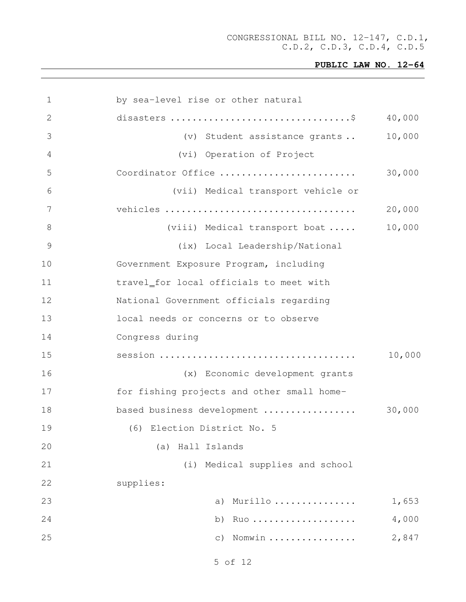```
1 by sea-level rise or other natural
2 disasters .................................$ 40,000
3 (v) Student assistance grants .. 10,000
4 (vi) Operation of Project
5 Coordinator Office ......................... 30,000
6 (vii) Medical transport vehicle or
7 vehicles ................................... 20,000
8 (viii) Medical transport boat ..... 10,000
9 (ix) Local Leadership/National
10 Government Exposure Program, including
11 travel for local officials to meet with
12 National Government officials regarding
13 local needs or concerns or to observe
14 Congress during
15 session .................................... 10,000
16 (x) Economic development grants
17 for fishing projects and other small home-
18 based business development ................. 30,000
19 (6) Election District No. 5
20 (a) Hall Islands
21 (i) Medical supplies and school
22 supplies:
23 a) Murillo ............... 1,653
24 b) Ruo ................... 4,000
25 c) Nomwin ................ 2,847
```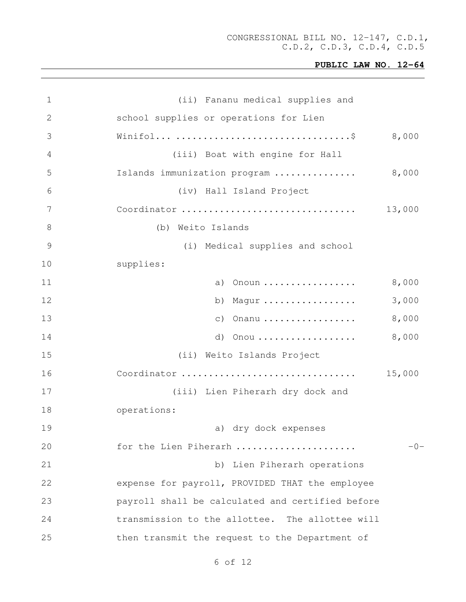| 1  | (ii) Fananu medical supplies and                 |        |
|----|--------------------------------------------------|--------|
| 2  | school supplies or operations for Lien           |        |
| 3  |                                                  | 8,000  |
| 4  | (iii) Boat with engine for Hall                  |        |
| 5  | Islands immunization program                     | 8,000  |
| 6  | (iv) Hall Island Project                         |        |
| 7  | Coordinator                                      | 13,000 |
| 8  | Weito Islands<br>(b)                             |        |
| 9  | (i) Medical supplies and school                  |        |
| 10 | supplies:                                        |        |
| 11 | Onoun<br>a)                                      | 8,000  |
| 12 | Magur<br>b)                                      | 3,000  |
| 13 | Onanu<br>$\circ$ )                               | 8,000  |
| 14 | d)<br>Onou                                       | 8,000  |
| 15 | (ii) Weito Islands Project                       |        |
| 16 | Coordinator                                      | 15,000 |
| 17 | (iii) Lien Piherarh dry dock and                 |        |
| 18 | operations:                                      |        |
| 19 | a) dry dock expenses                             |        |
| 20 | for the Lien Piherarh                            | $-0-$  |
| 21 | b) Lien Piherarh operations                      |        |
| 22 | expense for payroll, PROVIDED THAT the employee  |        |
| 23 | payroll shall be calculated and certified before |        |
| 24 | transmission to the allottee. The allottee will  |        |
| 25 | then transmit the request to the Department of   |        |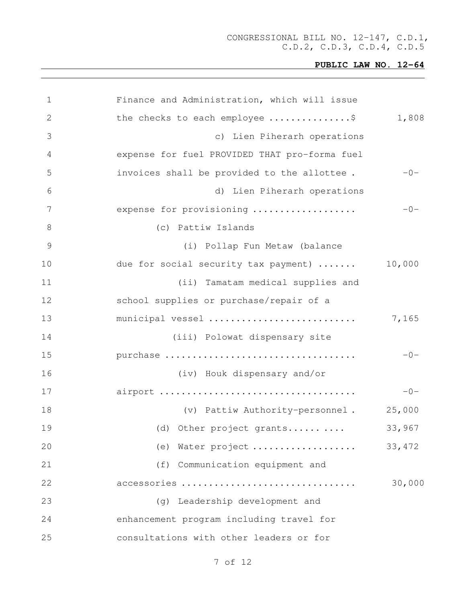# **PUBLIC LAW NO. 12-64**

| 1             | Finance and Administration, which will issue  |         |
|---------------|-----------------------------------------------|---------|
| 2             | the checks to each employee \$                | 1,808   |
| 3             | c) Lien Piherarh operations                   |         |
| 4             | expense for fuel PROVIDED THAT pro-forma fuel |         |
| 5             | invoices shall be provided to the allottee.   | $-0-$   |
| 6             | d) Lien Piherarh operations                   |         |
| 7             | expense for provisioning                      | $-0-$   |
| 8             | (c) Pattiw Islands                            |         |
| $\mathcal{G}$ | (i) Pollap Fun Metaw (balance                 |         |
| 10            | due for social security tax payment)          | 10,000  |
| 11            | (ii) Tamatam medical supplies and             |         |
| 12            | school supplies or purchase/repair of a       |         |
| 13            | municipal vessel                              | 7,165   |
| 14            | (iii) Polowat dispensary site                 |         |
| 15            | purchase                                      | $-0-$   |
| 16            | (iv) Houk dispensary and/or                   |         |
| 17            |                                               | $-0-$   |
| 18            | (v) Pattiw Authority-personnel.               | 25,000  |
| 19            | (d) Other project grants                      | 33,967  |
| 20            | Water project<br>(e)                          | 33, 472 |
| 21            | (f)<br>Communication equipment and            |         |
| 22            | accessories                                   | 30,000  |
| 23            | (g) Leadership development and                |         |
| 24            | enhancement program including travel for      |         |
| 25            | consultations with other leaders or for       |         |
|               |                                               |         |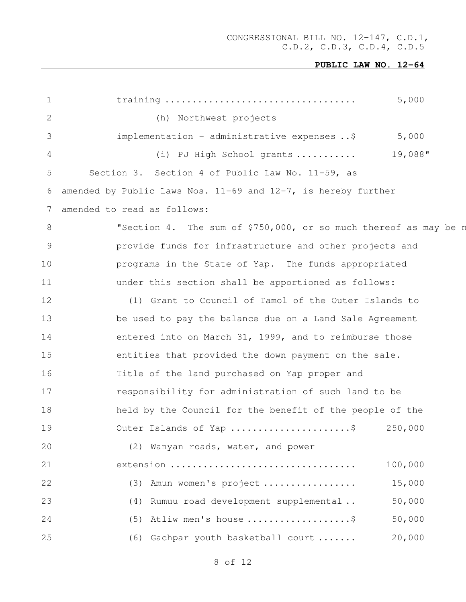| $\mathbf 1$     | 5,000                                                              |
|-----------------|--------------------------------------------------------------------|
| 2               | (h) Northwest projects                                             |
| 3               | implementation - administrative expenses \$<br>5,000               |
| 4               | 19,088"<br>(i) PJ High School grants                               |
| 5               | Section 3. Section 4 of Public Law No. 11-59, as                   |
| 6               | amended by Public Laws Nos. $11-69$ and $12-7$ , is hereby further |
| $7\phantom{.0}$ | amended to read as follows:                                        |
| 8               | "Section 4. The sum of \$750,000, or so much thereof as may be n   |
| 9               | provide funds for infrastructure and other projects and            |
| 10              | programs in the State of Yap. The funds appropriated               |
| 11              | under this section shall be apportioned as follows:                |
| 12              | (1) Grant to Council of Tamol of the Outer Islands to              |
| 13              | be used to pay the balance due on a Land Sale Agreement            |
| 14              | entered into on March 31, 1999, and to reimburse those             |
| 15              | entities that provided the down payment on the sale.               |
| 16              | Title of the land purchased on Yap proper and                      |
| 17              | responsibility for administration of such land to be               |
| 18              | held by the Council for the benefit of the people of the           |
| 19              | Outer Islands of Yap \$<br>250,000                                 |
| 20              | (2) Wanyan roads, water, and power                                 |
| 21              | 100,000<br>extension                                               |
| 22              | 15,000<br>Amun women's project<br>(3)                              |
| 23              | 50,000<br>Rumuu road development supplemental<br>(4)               |
| 24              | Atliw men's house \$<br>50,000<br>(5)                              |
| 25              | 20,000<br>Gachpar youth basketball court<br>(6)                    |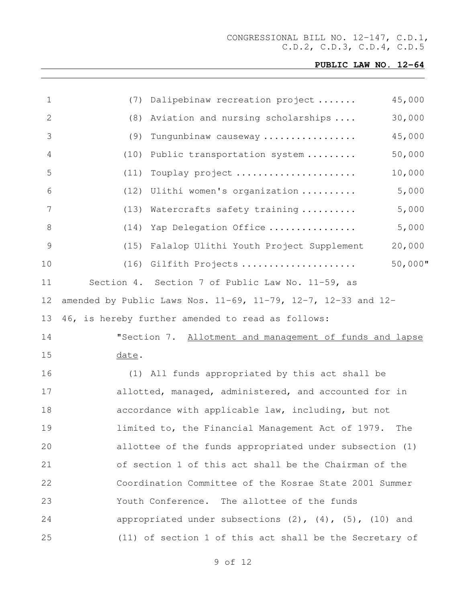# **PUBLIC LAW NO. 12-64**

| 1  | (7)   | Dalipebinaw recreation project                                             | 45,000     |
|----|-------|----------------------------------------------------------------------------|------------|
| 2  | (8)   | Aviation and nursing scholarships                                          | 30,000     |
| 3  | (9)   | Tungunbinaw causeway                                                       | 45,000     |
| 4  | (10)  | Public transportation system                                               | 50,000     |
| 5  | (11)  | Touplay project                                                            | 10,000     |
| 6  | (12)  | Ulithi women's organization                                                | 5,000      |
| 7  | (13)  | Watercrafts safety training                                                | 5,000      |
| 8  | (14)  | Yap Delegation Office                                                      | 5,000      |
| 9  | (15)  | Falalop Ulithi Youth Project Supplement                                    | 20,000     |
| 10 | (16)  | Gilfith Projects                                                           | $50,000$ " |
| 11 |       | Section 4. Section 7 of Public Law No. 11-59, as                           |            |
| 12 |       | amended by Public Laws Nos. $11-69$ , $11-79$ , $12-7$ , $12-33$ and $12-$ |            |
| 13 |       | 46, is hereby further amended to read as follows:                          |            |
| 14 |       | "Section 7. Allotment and management of funds and lapse                    |            |
| 15 | date. |                                                                            |            |
| 16 |       | (1) All funds appropriated by this act shall be                            |            |
| 17 |       | allotted, managed, administered, and accounted for in                      |            |
| 18 |       | accordance with applicable law, including, but not                         |            |
| 19 |       | limited to, the Financial Management Act of 1979. The                      |            |
| 20 |       | allottee of the funds appropriated under subsection (1)                    |            |
| 21 |       | of section 1 of this act shall be the Chairman of the                      |            |
| 22 |       | Coordination Committee of the Kosrae State 2001 Summer                     |            |
| 23 |       | Youth Conference. The allottee of the funds                                |            |
| 24 |       | appropriated under subsections $(2)$ , $(4)$ , $(5)$ , $(10)$ and          |            |
| 25 |       | (11) of section 1 of this act shall be the Secretary of                    |            |
|    |       |                                                                            |            |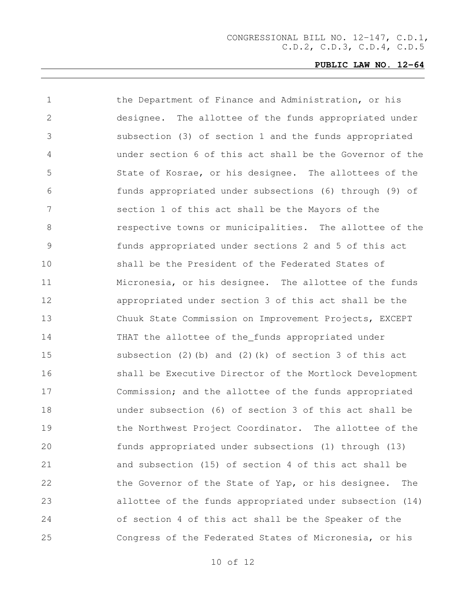| 1             | the Department of Finance and Administration, or his      |
|---------------|-----------------------------------------------------------|
| $\mathbf{2}$  | designee. The allottee of the funds appropriated under    |
| 3             | subsection (3) of section 1 and the funds appropriated    |
| 4             | under section 6 of this act shall be the Governor of the  |
| 5             | State of Kosrae, or his designee. The allottees of the    |
| 6             | funds appropriated under subsections (6) through (9) of   |
| 7             | section 1 of this act shall be the Mayors of the          |
| 8             | respective towns or municipalities. The allottee of the   |
| $\mathcal{G}$ | funds appropriated under sections 2 and 5 of this act     |
| 10            | shall be the President of the Federated States of         |
| 11            | Micronesia, or his designee. The allottee of the funds    |
| 12            | appropriated under section 3 of this act shall be the     |
| 13            | Chuuk State Commission on Improvement Projects, EXCEPT    |
| 14            | THAT the allottee of the_funds appropriated under         |
| 15            | subsection (2)(b) and (2)(k) of section 3 of this act     |
| 16            | shall be Executive Director of the Mortlock Development   |
| 17            | Commission; and the allottee of the funds appropriated    |
| 18            | under subsection (6) of section 3 of this act shall be    |
| 19            | the Northwest Project Coordinator. The allottee of the    |
| 20            | funds appropriated under subsections (1) through (13)     |
| 21            | and subsection (15) of section 4 of this act shall be     |
| 22            | the Governor of the State of Yap, or his designee.<br>The |
| 23            | allottee of the funds appropriated under subsection (14)  |
| 24            | of section 4 of this act shall be the Speaker of the      |
| 25            | Congress of the Federated States of Micronesia, or his    |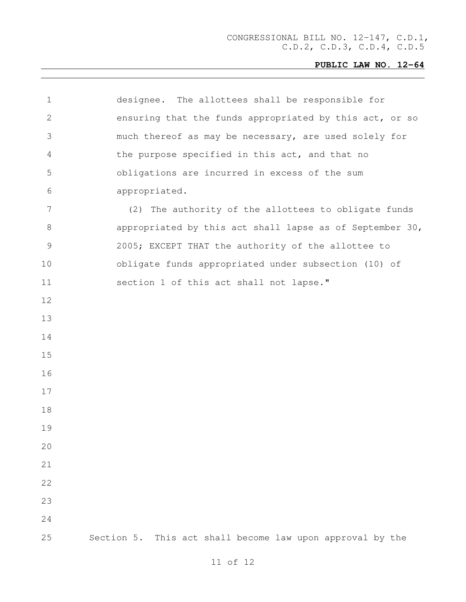| 1             | designee. The allottees shall be responsible for          |
|---------------|-----------------------------------------------------------|
| 2             | ensuring that the funds appropriated by this act, or so   |
| 3             | much thereof as may be necessary, are used solely for     |
| 4             | the purpose specified in this act, and that no            |
| 5             | obligations are incurred in excess of the sum             |
| 6             | appropriated.                                             |
| 7             | (2) The authority of the allottees to obligate funds      |
| 8             | appropriated by this act shall lapse as of September 30,  |
| $\mathcal{G}$ | 2005; EXCEPT THAT the authority of the allottee to        |
| 10            | obligate funds appropriated under subsection (10) of      |
| 11            | section 1 of this act shall not lapse."                   |
| 12            |                                                           |
| 13            |                                                           |
| 14            |                                                           |
| 15            |                                                           |
| 16            |                                                           |
| 17            |                                                           |
| 18            |                                                           |
| 19            |                                                           |
| 20            |                                                           |
| 21            |                                                           |
| 22            |                                                           |
| 23            |                                                           |
| 24            |                                                           |
| 25            | Section 5. This act shall become law upon approval by the |